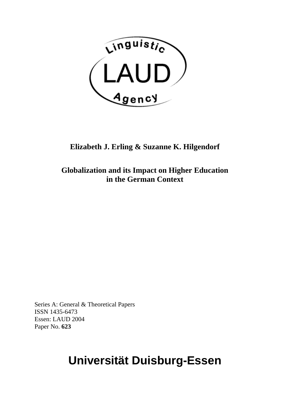

## **Elizabeth J. Erling & Suzanne K. Hilgendorf**

**Globalization and its Impact on Higher Education in the German Context** 

Series A: General & Theoretical Papers ISSN 1435-6473 Essen: LAUD 2004 Paper No. **623**

# **Universität Duisburg-Essen**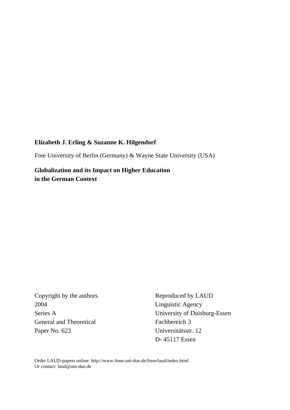#### **Elizabeth J. Erling & Suzanne K. Hilgendorf**

Free University of Berlin (Germany) & Wayne State University (USA)

**Globalization and its Impact on Higher Education in the German Context** 

2004 Linguistic Agency General and Theoretical Fachbereich 3 Paper No. 623 Universitätsstr. 12

Copyright by the authors Reproduced by LAUD Series A University of Duisburg-Essen D- 45117 Essen

Order LAUD-papers online: http://www.linse.uni-due.de/linse/laud/index.html Or contact: laud@uni-due.de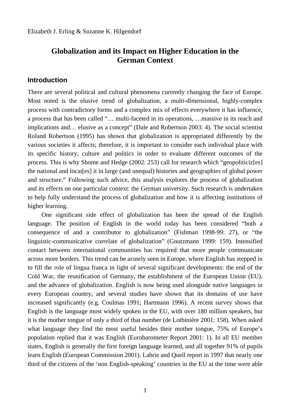## **Globalization and its Impact on Higher Education in the German Context**

#### **Introduction**

There are several political and cultural phenomena currently changing the face of Europe. Most noted is the elusive trend of globalization, a multi-dimensional, highly-complex process with contradictory forms and a complex mix of effects everywhere it has influence, a process that has been called "… multi-faceted in its operations, …massive in its reach and implications and… elusive as a concept" (Dale and Robertson 2003: 4). The social scientist Roland Robertson (1995) has shown that globalization is appropriated differently by the various societies it affects; therefore, it is important to consider each individual place with its specific history, culture and politics in order to evaluate different outcomes of the process. This is why Shome and Hedge (2002: 253) call for research which "geopoliticiz[es] the national and locat[es] it in large (and unequal) histories and geographies of global power and structure." Following such advice, this analysis explores the process of globalization and its effects on one particular context: the German university. Such research is undertaken to help fully understand the process of globalization and how it is affecting institutions of higher learning.

One significant side effect of globalization has been the spread of the English language. The position of English in the world today has been considered "both a consequence of and a contributor to globalization" (Fishman 1998-99: 27), or "the linguistic-communicative correlate of globalization" (Gnutzmann 1999: 159). Intensified contact between international communities has required that more people communicate across more borders. This trend can be acutely seen in Europe, where English has stepped in to fill the role of lingua franca in light of several significant developments: the end of the Cold War, the reunification of Germany, the establishment of the European Union (EU), and the advance of globalization. English is now being used alongside native languages in every European country, and several studies have shown that its domains of use have increased significantly (e.g. Coulmas 1991; Hartmann 1996). A recent survey shows that English is the language most widely spoken in the EU, with over 180 million speakers, but it is the mother tongue of only a third of that number (de Lotbinière 2001: 158). When asked what language they find the most useful besides their mother tongue, 75% of Europe's population replied that it was English (Eurobarometer Report 2001: 1). In all EU member states, English is generally the first foreign language learned, and all together 91% of pupils learn English (European Commission 2001). Labrie and Quell report in 1997 that nearly one third of the citizens of the 'non English-speaking' countries in the EU at the time were able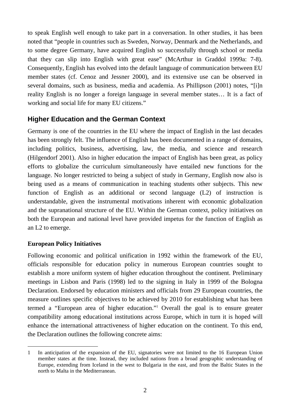to speak English well enough to take part in a conversation. In other studies, it has been noted that "people in countries such as Sweden, Norway, Denmark and the Netherlands, and to some degree Germany, have acquired English so successfully through school or media that they can slip into English with great ease" (McArthur in Graddol 1999a: 7-8). Consequently, English has evolved into the default language of communication between EU member states (cf. Cenoz and Jessner 2000), and its extensive use can be observed in several domains, such as business, media and academia. As Phillipson (2001) notes, "[i]n reality English is no longer a foreign language in several member states… It is a fact of working and social life for many EU citizens."

## **Higher Education and the German Context**

Germany is one of the countries in the EU where the impact of English in the last decades has been strongly felt. The influence of English has been documented in a range of domains, including politics, business, advertising, law, the media, and science and research (Hilgendorf 2001). Also in higher education the impact of English has been great, as policy efforts to globalize the curriculum simultaneously have entailed new functions for the language. No longer restricted to being a subject of study in Germany, English now also is being used as a means of communication in teaching students other subjects. This new function of English as an additional or second language (L2) of instruction is understandable, given the instrumental motivations inherent with economic globalization and the supranational structure of the EU. Within the German context, policy initiatives on both the European and national level have provided impetus for the function of English as an L2 to emerge.

#### **European Policy Initiatives**

Following economic and political unification in 1992 within the framework of the EU, officials responsible for education policy in numerous European countries sought to establish a more uniform system of higher education throughout the continent. Preliminary meetings in Lisbon and Paris (1998) led to the signing in Italy in 1999 of the Bologna Declaration. Endorsed by education ministers and officials from 29 European countries, the measure outlines specific objectives to be achieved by 2010 for establishing what has been termed a "European area of higher education."[1](#page-3-0) Overall the goal is to ensure greater compatibility among educational institutions across Europe, which in turn it is hoped will enhance the international attractiveness of higher education on the continent. To this end, the Declaration outlines the following concrete aims:

<span id="page-3-0"></span> $\overline{a}$ 1 In anticipation of the expansion of the EU, signatories were not limited to the 16 European Union member states at the time. Instead, they included nations from a broad geographic understanding of Europe, extending from Iceland in the west to Bulgaria in the east, and from the Baltic States in the north to Malta in the Mediterranean.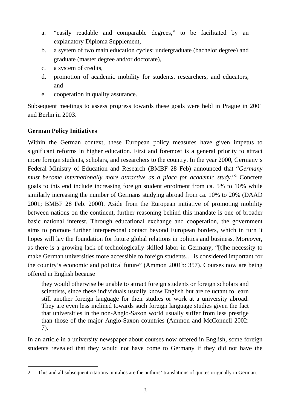- a. "easily readable and comparable degrees," to be facilitated by an explanatory Diploma Supplement,
- b. a system of two main education cycles: undergraduate (bachelor degree) and graduate (master degree and/or doctorate),
- c. a system of credits,
- d. promotion of academic mobility for students, researchers, and educators, and
- e. cooperation in quality assurance.

Subsequent meetings to assess progress towards these goals were held in Prague in 2001 and Berlin in 2003.

### **German Policy Initiatives**

Within the German context, these European policy measures have given impetus to significant reforms in higher education. First and foremost is a general priority to attract more foreign students, scholars, and researchers to the country. In the year 2000, Germany's Federal Ministry of Education and Research (BMBF 28 Feb) announced that "*Germany must become internationally more attractive as a place for academic study.*"2 Concrete goals to this end include increasing foreign student enrolment from ca. 5% to 10% while similarly increasing the number of Germans studying abroad from ca. 10% to 20% (DAAD 2001; BMBF 28 Feb. 2000). Aside from the European initiative of promoting mobility between nations on the continent, further reasoning behind this mandate is one of broader basic national interest. Through educational exchange and cooperation, the government aims to promote further interpersonal contact beyond European borders, which in turn it hopes will lay the foundation for future global relations in politics and business. Moreover, as there is a growing lack of technologically skilled labor in Germany, "[t]he necessity to make German universities more accessible to foreign students… is considered important for the country's economic and political future" (Ammon 2001b: 357). Courses now are being offered in English because

they would otherwise be unable to attract foreign students or foreign scholars and scientists, since these individuals usually know English but are reluctant to learn still another foreign language for their studies or work at a university abroad. They are even less inclined towards such foreign language studies given the fact that universities in the non-Anglo-Saxon world usually suffer from less prestige than those of the major Anglo-Saxon countries (Ammon and McConnell 2002: 7).

In an article in a university newspaper about courses now offered in English, some foreign students revealed that they would not have come to Germany if they did not have the

<span id="page-4-0"></span> 2 This and all subsequent citations in italics are the authors' translations of quotes originally in German.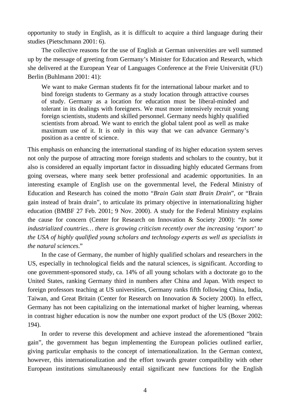opportunity to study in English, as it is difficult to acquire a third language during their studies (Pietschmann 2001: 6).

The collective reasons for the use of English at German universities are well summed up by the message of greeting from Germany's Minister for Education and Research, which she delivered at the European Year of Languages Conference at the Freie Universität (FU) Berlin (Buhlmann 2001: 41):

We want to make German students fit for the international labour market and to bind foreign students to Germany as a study location through attractive courses of study. Germany as a location for education must be liberal-minded and tolerant in its dealings with foreigners. We must more intensively recruit young foreign scientists, students and skilled personnel. Germany needs highly qualified scientists from abroad. We want to enrich the global talent pool as well as make maximum use of it. It is only in this way that we can advance Germany's position as a centre of science.

This emphasis on enhancing the international standing of its higher education system serves not only the purpose of attracting more foreign students and scholars to the country, but it also is considered an equally important factor in dissuading highly educated Germans from going overseas, where many seek better professional and academic opportunities. In an interesting example of English use on the governmental level, the Federal Ministry of Education and Research has coined the motto "*Brain Gain statt Brain Drain*", or "Brain gain instead of brain drain", to articulate its primary objective in internationalizing higher education (BMBF 27 Feb. 2001; 9 Nov. 2000). A study for the Federal Ministry explains the cause for concern (Center for Research on Innovation & Society 2000): "*In some industrialized countries… there is growing criticism recently over the increasing 'export' to the USA of highly qualified young scholars and technology experts as well as specialists in the natural sciences*."

In the case of Germany, the number of highly qualified scholars and researchers in the US, especially in technological fields and the natural sciences, is significant. According to one government-sponsored study, ca. 14% of all young scholars with a doctorate go to the United States, ranking Germany third in numbers after China and Japan. With respect to foreign professors teaching at US universities, Germany ranks fifth following China, India, Taiwan, and Great Britain (Center for Research on Innovation & Society 2000). In effect, Germany has not been capitalizing on the international market of higher learning, whereas in contrast higher education is now the number one export product of the US (Boxer 2002: 194).

In order to reverse this development and achieve instead the aforementioned "brain gain", the government has begun implementing the European policies outlined earlier, giving particular emphasis to the concept of internationalization. In the German context, however, this internationalization and the effort towards greater compatibility with other European institutions simultaneously entail significant new functions for the English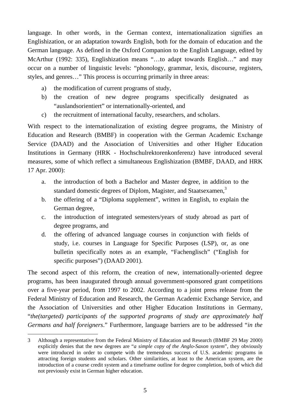language. In other words, in the German context, internationalization signifies an Englishization, or an adaptation towards English, both for the domain of education and the German language. As defined in the Oxford Companion to the English Language, edited by McArthur (1992: 335), Englishization means "…to adapt towards English…" and may occur on a number of linguistic levels: "phonology, grammar, lexis, discourse, registers, styles, and genres…" This process is occurring primarily in three areas:

- a) the modification of current programs of study,
- b) the creation of new degree programs specifically designated as "auslandsorientiert" or internationally-oriented, and
- c) the recruitment of international faculty, researchers, and scholars.

With respect to the internationalization of existing degree programs, the Ministry of Education and Research (BMBF) in cooperation with the German Academic Exchange Service (DAAD) and the Association of Universities and other Higher Education Institutions in Germany (HRK - Hochschulrektorenkonferenz) have introduced several measures, some of which reflect a simultaneous Englishization (BMBF, DAAD, and HRK 17 Apr. 2000):

- a. the introduction of both a Bachelor and Master degree, in addition to the standard domestic degrees of Diplom, Magister, and Staatsexamen, $3$
- b. the offering of a "Diploma supplement", written in English, to explain the German degree,
- c. the introduction of integrated semesters/years of study abroad as part of degree programs, and
- d. the offering of advanced language courses in conjunction with fields of study, i.e. courses in Language for Specific Purposes (LSP), or, as one bulletin specifically notes as an example, "Fachenglisch" ("English for specific purposes") (DAAD 2001).

The second aspect of this reform, the creation of new, internationally-oriented degree programs, has been inaugurated through annual government-sponsored grant competitions over a five-year period, from 1997 to 2002. According to a joint press release from the Federal Ministry of Education and Research, the German Academic Exchange Service, and the Association of Universities and other Higher Education Institutions in Germany, "*the(targeted) participants of the supported programs of study are approximately half Germans and half foreigners*." Furthermore, language barriers are to be addressed "*in the* 

 $\overline{a}$ 

<span id="page-6-0"></span><sup>3</sup> Although a representative from the Federal Ministry of Education and Research (BMBF 29 May 2000) explicitly denies that the new degrees are "*a simple copy of the Anglo-Saxon system*", they obviously were introduced in order to compete with the tremendous success of U.S. academic programs in attracting foreign students and scholars. Other similarities, at least to the American system, are the introduction of a course credit system and a timeframe outline for degree completion, both of which did not previously exist in German higher education.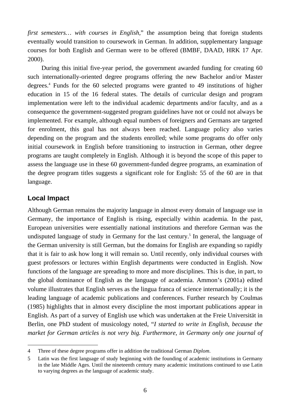*first semesters… with courses in English,*" the assumption being that foreign students eventually would transition to coursework in German. In addition, supplementary language courses for both English and German were to be offered (BMBF, DAAD, HRK 17 Apr. 2000).

During this initial five-year period, the government awarded funding for creating 60 such internationally-oriented degree programs offering the new Bachelor and/or Master degrees.[4](#page-7-0) Funds for the 60 selected programs were granted to 49 institutions of higher education in 15 of the 16 federal states. The details of curricular design and program implementation were left to the individual academic departments and/or faculty, and as a consequence the government-suggested program guidelines have not or could not always be implemented. For example, although equal numbers of foreigners and Germans are targeted for enrolment, this goal has not always been reached. Language policy also varies depending on the program and the students enrolled; while some programs do offer only initial coursework in English before transitioning to instruction in German, other degree programs are taught completely in English. Although it is beyond the scope of this paper to assess the language use in these 60 government-funded degree programs, an examination of the degree program titles suggests a significant role for English: 55 of the 60 are in that language.

#### **Local Impact**

 $\overline{a}$ 

Although German remains the majority language in almost every domain of language use in Germany, the importance of English is rising, especially within academia. In the past, European universities were essentially national institutions and therefore German was the undisputedlanguage of study in Germany for the last century.<sup>5</sup> In general, the language of the German university is still German, but the domains for English are expanding so rapidly that it is fair to ask how long it will remain so. Until recently, only individual courses with guest professors or lectures within English departments were conducted in English. Now functions of the language are spreading to more and more disciplines. This is due, in part, to the global dominance of English as the language of academia. Ammon's (2001a) edited volume illustrates that English serves as the lingua franca of science internationally; it is the leading language of academic publications and conferences. Further research by Coulmas (1985) highlights that in almost every discipline the most important publications appear in English. As part of a survey of English use which was undertaken at the Freie Universität in Berlin, one PhD student of musicology noted, "*I started to write in English, because the market for German articles is not very big. Furthermore, in Germany only one journal of*

<span id="page-7-0"></span><sup>4</sup> Three of these degree programs offer in addition the traditional German *Diplom*.

<span id="page-7-1"></span><sup>5</sup> Latin was the first language of study beginning with the founding of academic institutions in Germany in the late Middle Ages. Until the nineteenth century many academic institutions continued to use Latin to varying degrees as the language of academic study.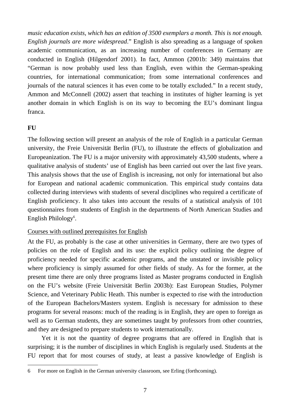*music education exists, which has an edition of 3500 exemplars a month. This is not enough. English journals are more widespread*." English is also spreading as a language of spoken academic communication, as an increasing number of conferences in Germany are conducted in English (Hilgendorf 2001). In fact, Ammon (2001b: 349) maintains that "German is now probably used less than English, even within the German-speaking countries, for international communication; from some international conferences and journals of the natural sciences it has even come to be totally excluded." In a recent study, Ammon and McConnell (2002) assert that teaching in institutes of higher learning is yet another domain in which English is on its way to becoming the EU's dominant lingua franca.

#### **FU**

The following section will present an analysis of the role of English in a particular German university, the Freie Universität Berlin (FU), to illustrate the effects of globalization and Europeanization. The FU is a major university with approximately 43,500 students, where a qualitative analysis of students' use of English has been carried out over the last five years. This analysis shows that the use of English is increasing, not only for international but also for European and national academic communication. This empirical study contains data collected during interviews with students of several disciplines who required a certificate of English proficiency. It also takes into account the results of a statistical analysis of 101 questionnaires from students of English in the departments of North American Studies and English Philology<sup>6</sup>[.](#page-8-0)

#### Courses with outlined prerequisites for English

At the FU, as probably is the case at other universities in Germany, there are two types of policies on the role of English and its use: the explicit policy outlining the degree of proficiency needed for specific academic programs, and the unstated or invisible policy where proficiency is simply assumed for other fields of study. As for the former, at the present time there are only three programs listed as Master programs conducted in English on the FU's website (Freie Universität Berlin 2003b): East European Studies, Polymer Science, and Veterinary Public Heath. This number is expected to rise with the introduction of the European Bachelors/Masters system. English is necessary for admission to these programs for several reasons: much of the reading is in English, they are open to foreign as well as to German students, they are sometimes taught by professors from other countries, and they are designed to prepare students to work internationally.

Yet it is not the quantity of degree programs that are offered in English that is surprising; it is the number of disciplines in which English is regularly used. Students at the FU report that for most courses of study, at least a passive knowledge of English is

<span id="page-8-0"></span> 6 For more on English in the German university classroom, see Erling (forthcoming).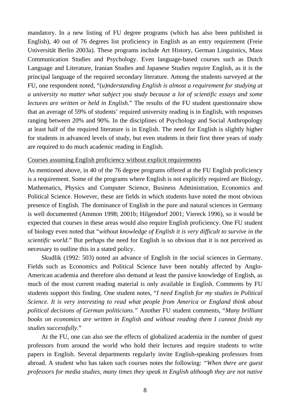mandatory. In a new listing of FU degree programs (which has also been published in English), 40 out of 76 degrees list proficiency in English as an entry requirement (Freie Universität Berlin 2003a). These programs include Art History, German Linguistics, Mass Communication Studies and Psychology. Even language-based courses such as Dutch Language and Literature, Iranian Studies and Japanese Studies require English, as it is the principal language of the required secondary literature. Among the students surveyed at the FU, one respondent noted, "(*u)nderstanding English is almost a requirement for studying at a university no matter what subject you study because a lot of scientific essays and some lectures are written or held in English.*" The results of the FU student questionnaire show that an average of 59% of students' required university reading is in English, with responses ranging between 20% and 90%. In the disciplines of Psychology and Social Anthropology at least half of the required literature is in English. The need for English is slightly higher for students in advanced levels of study, but even students in their first three years of study are required to do much academic reading in English.

#### Courses assuming English proficiency without explicit requirements

As mentioned above, in 40 of the 76 degree programs offered at the FU English proficiency is a requirement. Some of the programs where English is not explicitly required are Biology, Mathematics, Physics and Computer Science, Business Administration, Economics and Political Science. However, these are fields in which students have noted the most obvious presence of English. The dominance of English in the pure and natural sciences in Germany is well documented (Ammon 1998; 2001b; Hilgendorf 2001; Viereck 1996), so it would be expected that courses in these areas would also require English proficiency. One FU student of biology even noted that "*without knowledge of English it is very difficult to survive in the scientific world*." But perhaps the need for English is so obvious that it is not perceived as necessary to outline this in a stated policy.

Skudlik (1992: 503) noted an advance of English in the social sciences in Germany. Fields such as Economics and Political Science have been notably affected by Anglo-American academia and therefore also demand at least the passive knowledge of English, as much of the most current reading material is only available in English. Comments by FU students support this finding. One student notes, "*I need English for my studies in Political Science. It is very interesting to read what people from America or England think about political decisions of German politicians."* Another FU student comments, "*Many brilliant books on economics are written in English and without reading them I cannot finish my studies successfully.*"

At the FU, one can also see the effects of globalized academia in the number of guest professors from around the world who hold their lectures and require students to write papers in English. Several departments regularly invite English-speaking professors from abroad. A student who has taken such courses notes the following: *"When there are guest professors for media studies, many times they speak in English although they are not native*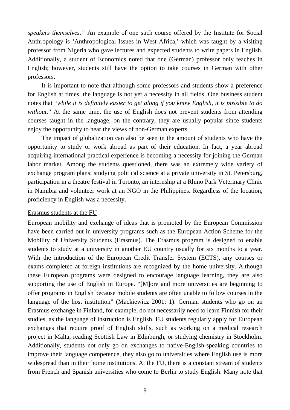*speakers themselves."* An example of one such course offered by the Institute for Social Anthropology is 'Anthropological Issues in West Africa,' which was taught by a visiting professor from Nigeria who gave lectures and expected students to write papers in English. Additionally, a student of Economics noted that one (German) professor only teaches in English; however, students still have the option to take courses in German with other professors.

It is important to note that although some professors and students show a preference for English at times, the language is not yet a necessity in all fields. One business student notes that "*while it is definitely easier to get along if you know English, it is possible to do without.*" At the same time, the use of English does not prevent students from attending courses taught in the language; on the contrary, they are usually popular since students enjoy the opportunity to hear the views of non-German experts.

The impact of globalization can also be seen in the amount of students who have the opportunity to study or work abroad as part of their education. In fact, a year abroad acquiring international practical experience is becoming a necessity for joining the German labor market. Among the students questioned, there was an extremely wide variety of exchange program plans: studying political science at a private university in St. Petersburg, participation in a theatre festival in Toronto, an internship at a Rhino Park Veterinary Clinic in Namibia and volunteer work at an NGO in the Philippines. Regardless of the location, proficiency in English was a necessity.

#### Erasmus students at the FU

European mobility and exchange of ideas that is promoted by the European Commission have been carried out in university programs such as the European Action Scheme for the Mobility of University Students (Erasmus). The Erasmus program is designed to enable students to study at a university in another EU country usually for six months to a year. With the introduction of the European Credit Transfer System (ECTS), any courses or exams completed at foreign institutions are recognized by the home university. Although these European programs were designed to encourage language learning, they are also supporting the use of English in Europe. "[M]ore and more universities are beginning to offer programs in English because mobile students are often unable to follow courses in the language of the host institution" (Mackiewicz 2001: 1). German students who go on an Erasmus exchange in Finland, for example, do not necessarily need to learn Finnish for their studies, as the language of instruction is English. FU students regularly apply for European exchanges that require proof of English skills, such as working on a medical research project in Malta, reading Scottish Law in Edinburgh, or studying chemistry in Stockholm. Additionally, students not only go on exchanges to native-English-speaking countries to improve their language competence, they also go to universities where English use is more widespread than in their home institutions. At the FU, there is a constant stream of students from French and Spanish universities who come to Berlin to study English. Many note that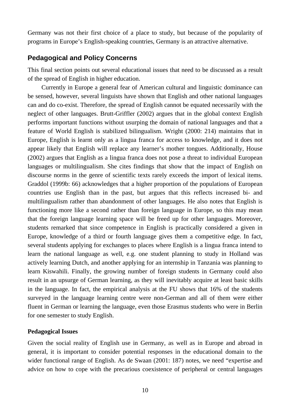Germany was not their first choice of a place to study, but because of the popularity of programs in Europe's English-speaking countries, Germany is an attractive alternative.

## **Pedagogical and Policy Concerns**

This final section points out several educational issues that need to be discussed as a result of the spread of English in higher education.

Currently in Europe a general fear of American cultural and linguistic dominance can be sensed, however, several linguists have shown that English and other national languages can and do co-exist. Therefore, the spread of English cannot be equated necessarily with the neglect of other languages. Brutt-Griffler (2002) argues that in the global context English performs important functions without usurping the domain of national languages and that a feature of World English is stabilized bilingualism. Wright (2000: 214) maintains that in Europe, English is learnt only as a lingua franca for access to knowledge, and it does not appear likely that English will replace any learner's mother tongues. Additionally, House (2002) argues that English as a lingua franca does not pose a threat to individual European languages or multilingualism. She cites findings that show that the impact of English on discourse norms in the genre of scientific texts rarely exceeds the import of lexical items. Graddol (1999b: 66) acknowledges that a higher proportion of the populations of European countries use English than in the past, but argues that this reflects increased bi- and multilingualism rather than abandonment of other languages. He also notes that English is functioning more like a second rather than foreign language in Europe, so this may mean that the foreign language learning space will be freed up for other languages. Moreover, students remarked that since competence in English is practically considered a given in Europe, knowledge of a third or fourth language gives them a competitive edge. In fact, several students applying for exchanges to places where English is a lingua franca intend to learn the national language as well, e.g. one student planning to study in Holland was actively learning Dutch, and another applying for an internship in Tanzania was planning to learn Kiswahili. Finally, the growing number of foreign students in Germany could also result in an upsurge of German learning, as they will inevitably acquire at least basic skills in the language. In fact, the empirical analysis at the FU shows that 16% of the students surveyed in the language learning centre were non-German and all of them were either fluent in German or learning the language, even those Erasmus students who were in Berlin for one semester to study English.

#### **Pedagogical Issues**

Given the social reality of English use in Germany, as well as in Europe and abroad in general, it is important to consider potential responses in the educational domain to the wider functional range of English. As de Swaan (2001: 187) notes, we need "expertise and advice on how to cope with the precarious coexistence of peripheral or central languages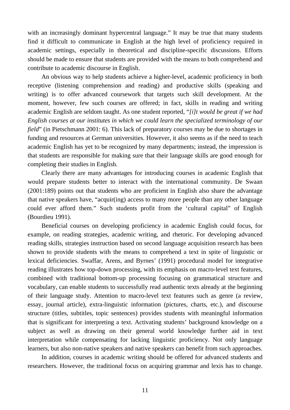with an increasingly dominant hypercentral language." It may be true that many students find it difficult to communicate in English at the high level of proficiency required in academic settings, especially in theoretical and discipline-specific discussions. Efforts should be made to ensure that students are provided with the means to both comprehend and contribute to academic discourse in English.

An obvious way to help students achieve a higher-level, academic proficiency in both receptive (listening comprehension and reading) and productive skills (speaking and writing) is to offer advanced coursework that targets such skill development. At the moment, however, few such courses are offered; in fact, skills in reading and writing academic English are seldom taught. As one student reported, "*[i]t would be great if we had English courses at our institutes in which we could learn the specialized terminology of our field*" (in Pietschmann 2001: 6). This lack of preparatory courses may be due to shortages in funding and resources at German universities. However, it also seems as if the need to teach academic English has yet to be recognized by many departments; instead, the impression is that students are responsible for making sure that their language skills are good enough for completing their studies in English.

Clearly there are many advantages for introducing courses in academic English that would prepare students better to interact with the international community. De Swaan (2001:189) points out that students who are proficient in English also share the advantage that native speakers have, "acquir(ing) access to many more people than any other language could ever afford them." Such students profit from the 'cultural capital" of English (Bourdieu 1991).

Beneficial courses on developing proficiency in academic English could focus, for example, on reading strategies, academic writing, and rhetoric. For developing advanced reading skills, strategies instruction based on second language acquisition research has been shown to provide students with the means to comprehend a text in spite of linguistic or lexical deficiencies. Swaffar, Arens, and Byrnes' (1991) procedural model for integrative reading illustrates how top-down processing, with its emphasis on macro-level text features, combined with traditional bottom-up processing focusing on grammatical structure and vocabulary, can enable students to successfully read authentic texts already at the beginning of their language study. Attention to macro-level text features such as genre (a review, essay, journal article), extra-linguistic information (pictures, charts, etc.), and discourse structure (titles, subtitles, topic sentences) provides students with meaningful information that is significant for interpreting a text. Activating students' background knowledge on a subject as well as drawing on their general world knowledge further aid in text interpretation while compensating for lacking linguistic proficiency. Not only language learners, but also non-native speakers and native speakers can benefit from such approaches.

In addition, courses in academic writing should be offered for advanced students and researchers. However, the traditional focus on acquiring grammar and lexis has to change.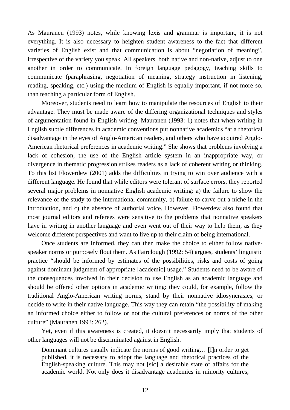As Mauranen (1993) notes, while knowing lexis and grammar is important, it is not everything. It is also necessary to heighten student awareness to the fact that different varieties of English exist and that communication is about "negotiation of meaning", irrespective of the variety you speak. All speakers, both native and non-native, adjust to one another in order to communicate. In foreign language pedagogy, teaching skills to communicate (paraphrasing, negotiation of meaning, strategy instruction in listening, reading, speaking, etc.) using the medium of English is equally important, if not more so, than teaching a particular form of English.

Moreover, students need to learn how to manipulate the resources of English to their advantage. They must be made aware of the differing organizational techniques and styles of argumentation found in English writing. Mauranen (1993: 1) notes that when writing in English subtle differences in academic conventions put nonnative academics "at a rhetorical disadvantage in the eyes of Anglo-American readers, and others who have acquired Anglo-American rhetorical preferences in academic writing." She shows that problems involving a lack of cohesion, the use of the English article system in an inappropriate way, or divergence in thematic progression strikes readers as a lack of coherent writing or thinking. To this list Flowerdew (2001) adds the difficulties in trying to win over audience with a different language. He found that while editors were tolerant of surface errors, they reported several major problems in nonnative English academic writing: a) the failure to show the relevance of the study to the international community, b) failure to carve out a niche in the introduction, and c) the absence of authorial voice. However, Flowerdew also found that most journal editors and referees were sensitive to the problems that nonnative speakers have in writing in another language and even went out of their way to help them, as they welcome different perspectives and want to live up to their claim of being international.

Once students are informed, they can then make the choice to either follow nativespeaker norms or purposely flout them. As Fairclough (1992: 54) argues, students' linguistic practice "should be informed by estimates of the possibilities, risks and costs of going against dominant judgment of appropriate [academic] usage." Students need to be aware of the consequences involved in their decision to use English as an academic language and should be offered other options in academic writing: they could, for example, follow the traditional Anglo-American writing norms, stand by their nonnative idiosyncrasies, or decide to write in their native language. This way they can retain "the possibility of making an informed choice either to follow or not the cultural preferences or norms of the other culture" (Mauranen 1993: 262).

Yet, even if this awareness is created, it doesn't necessarily imply that students of other languages will not be discriminated against in English.

Dominant cultures usually indicate the norms of good writing… [I]n order to get published, it is necessary to adopt the language and rhetorical practices of the English-speaking culture. This may not [sic] a desirable state of affairs for the academic world. Not only does it disadvantage academics in minority cultures,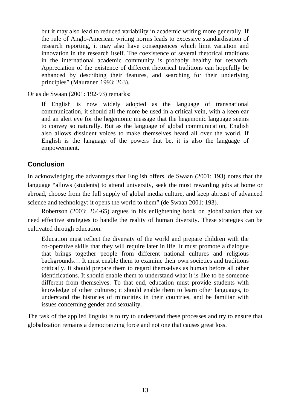but it may also lead to reduced variability in academic writing more generally. If the rule of Anglo-American writing norms leads to excessive standardisation of research reporting, it may also have consequences which limit variation and innovation in the research itself. The coexistence of several rhetorical traditions in the international academic community is probably healthy for research. Appreciation of the existence of different rhetorical traditions can hopefully be enhanced by describing their features, and searching for their underlying principles" (Mauranen 1993: 263).

Or as de Swaan (2001: 192-93) remarks:

If English is now widely adopted as the language of transnational communication, it should all the more be used in a critical vein, with a keen ear and an alert eye for the hegemonic message that the hegemonic language seems to convey so naturally. But as the language of global communication, English also allows dissident voices to make themselves heard all over the world. If English is the language of the powers that be, it is also the language of empowerment.

## **Conclusion**

In acknowledging the advantages that English offers, de Swaan (2001: 193) notes that the language "allows (students) to attend university, seek the most rewarding jobs at home or abroad, choose from the full supply of global media culture, and keep abreast of advanced science and technology: it opens the world to them" (de Swaan 2001: 193).

Robertson (2003: 264-65) argues in his enlightening book on globalization that we need effective strategies to handle the reality of human diversity. These strategies can be cultivated through education.

Education must reflect the diversity of the world and prepare children with the co-operative skills that they will require later in life. It must promote a dialogue that brings together people from different national cultures and religious backgrounds… It must enable them to examine their own societies and traditions critically. It should prepare them to regard themselves as human before all other identifications. It should enable them to understand what it is like to be someone different from themselves. To that end, education must provide students with knowledge of other cultures; it should enable them to learn other languages, to understand the histories of minorities in their countries, and be familiar with issues concerning gender and sexuality.

The task of the applied linguist is to try to understand these processes and try to ensure that globalization remains a democratizing force and not one that causes great loss.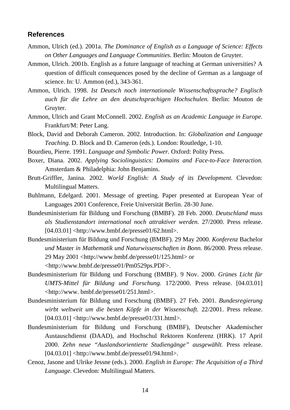#### **References**

- Ammon, Ulrich (ed.). 2001a. *The Dominance of English as a Language of Science: Effects on Other Languages and Language Communities.* Berlin: Mouton de Gruyter.
- Ammon, Ulrich. 2001b. English as a future language of teaching at German universities? A question of difficult consequences posed by the decline of German as a language of science. In: U. Ammon (ed.), 343-361.
- Ammon, Ulrich. 1998. *Ist Deutsch noch internationale Wissenschaftssprache? Englisch auch für die Lehre an den deutschsprachigen Hochschulen.* Berlin: Mouton de Gruyter.
- Ammon, Ulrich and Grant McConnell. 2002. *English as an Academic Language in Europe.* Frankfurt/M: Peter Lang.
- Block, David and Deborah Cameron. 2002. Introduction. In: *Globalization and Language Teaching.* D. Block and D. Cameron (eds.). London: Routledge, 1-10.
- Bourdieu, Pierre. 1991. *Language and Symbolic Power.* Oxford: Polity Press.
- Boxer, Diana. 2002. *Applying Sociolinguistics: Domains and Face-to-Face Interaction.* Amsterdam & Philadelphia: John Benjamins.
- Brutt-Griffler, Janina. 2002. *World English: A Study of its Development.* Clevedon: Multilingual Matters.
- Buhlmann, Edelgard. 2001. Message of greeting. Paper presented at European Year of Languages 2001 Conference, Freie Universität Berlin. 28-30 June.
- Bundesministerium für Bildung und Forschung (BMBF). 28 Feb. 2000. *Deutschland muss als Studienstandort international noch attraktiver werden.* 27/2000. Press release.  $[04.03.01]$  <http://www.bmbf.de/presse01/62.html>.
- Bundesministerium für Bildung und Forschung (BMBF). 29 May 2000. *Konferenz* Bachelor *und* Master *in Mathematik und Naturwissenschaften in Bonn.* 86/2000. Press release. 29 May 2001 <http://www.bmbf.de/presse01/125.html> or
	- <http://www.bmbf.de/presse01/Pm0529ps.PDF>.
- Bundesministerium für Bildung und Forschung (BMBF). 9 Nov. 2000. *Grünes Licht für UMTS-Mittel für Bildung und Forschung.* 172/2000. Press release. [04.03.01] <http://www. bmbf.de/presse01/251.html>.
- Bundesministerium für Bildung und Forschung (BMBF). 27 Feb. 2001. *Bundesregierung wirbt weltweit um die besten Köpfe in der Wissenschaft.* 22/2001. Press release.  $[04.03.01]$  <http://www.bmbf.de/presse01/331.html>.
- Bundesministerium für Bildung und Forschung (BMBF), Deutscher Akademischer Austauschdienst (DAAD), and Hochschul Rektoren Konferenz (HRK). 17 April 2000. *Zehn neue "Auslandsorientierte Studiengänge" ausgewählt.* Press release.  $[04.03.01]$  <http://www.bmbf.de/presse01/94.html>.
- Cenoz, Jasone and Ulrike Jessne (eds.). 2000. *English in Europe: The Acquisition of a Third Language.* Clevedon: Multilingual Matters.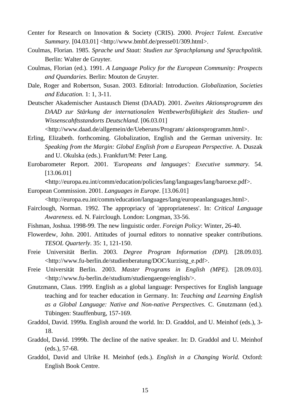- Center for Research on Innovation & Society (CRIS). 2000. *Project Talent. Executive Summary.* [04.03.01] <http://www.bmbf.de/presse01/309.html>.
- Coulmas, Florian. 1985. *Sprache und Staat: Studien zur Sprachplanung und Sprachpolitik.* Berlin: Walter de Gruyter.
- Coulmas, Florian (ed.). 1991. *A Language Policy for the European Community: Prospects and Quandaries.* Berlin: Mouton de Gruyter.
- Dale, Roger and Robertson, Susan. 2003. Editorial: Introduction. *Globalization, Societies and Education.* 1: 1, 3-11.
- Deutscher Akademischer Austausch Dienst (DAAD). 2001. *Zweites Aktionsprogramm des DAAD zur Stärkung der internationalen Wettbewerbsfähigkeit des Studien- und Wissenscahftsstandorts Deutschland.* [06.03.01]

<http://www.daad.de/allgemein/de/Ueberuns/Program/ aktionsprogramm.html>.

- Erling, Elizabeth. forthcoming. Globalization, English and the German university. In: *Speaking from the Margin: Global English from a European Perspective.* A. Duszak and U. Okulska (eds.). Frankfurt/M: Peter Lang.
- Eurobarometer Report. 2001. *'Europeans and languages': Executive summary.* 54. [13.06.01]

<http://europa.eu.int/comm/education/policies/lang/languages/lang/baroexe.pdf>.

- European Commission. 2001. *Languages in Europe.* [13.06.01] <http://europa.eu.int/comm/education/languages/lang/europeanlanguages.html>.
- Fairclough, Norman. 1992. The appropriacy of 'appropriateness'. In: *Critical Language*

*Awareness.* ed. N. Fairclough. London: Longman, 33-56.

- Fishman, Joshua. 1998-99. The new linguistic order. *Foreign Policy*: Winter, 26-40.
- Flowerdew, John. 2001. Attitudes of journal editors to nonnative speaker contributions. *TESOL Quarterly*. 35: 1, 121-150.
- Freie Universität Berlin. 2003. *Degree Program Information (DPI).* [28.09.03]. <http://www.fu-berlin.de/studienberatung/DOC/kurzistg\_e.pdf>.
- Freie Universität Berlin. 2003. *Master Programs in English (MPE).* [28.09.03]. <http://www.fu-berlin.de/studium/studiengaenge/english/>.
- Gnutzmann, Claus. 1999. English as a global language: Perspectives for English language teaching and for teacher education in Germany. In: *Teaching and Learning English as a Global Language: Native and Non-native Perspectives.* C. Gnutzmann (ed.). Tübingen: Stauffenburg, 157-169.
- Graddol, David. 1999a. English around the world. In: D. Graddol, and U. Meinhof (eds.), 3- 18.
- Graddol, David. 1999b. The decline of the native speaker. In: D. Graddol and U. Meinhof (eds.), 57-68.
- Graddol, David and Ulrike H. Meinhof (eds.). *English in a Changing World.* Oxford: English Book Centre.